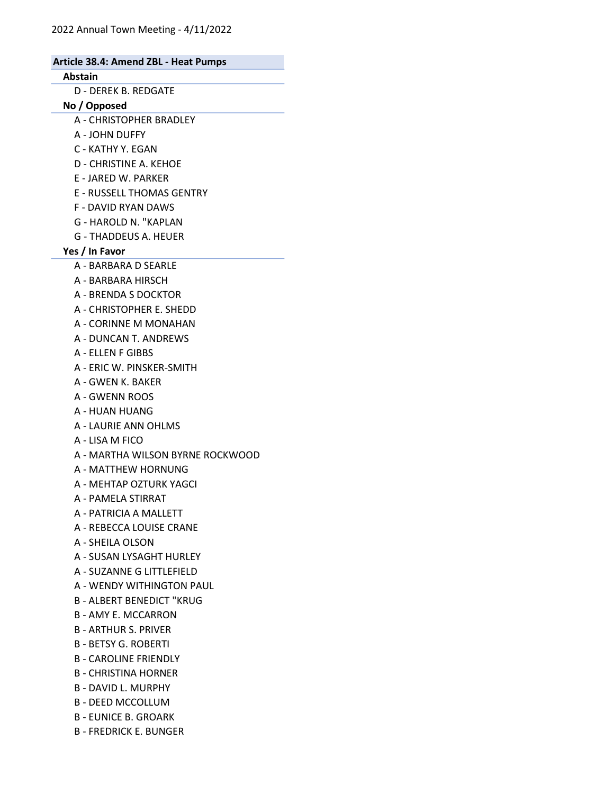| Article 38.4: Amend ZBL - Heat Pumps |  |
|--------------------------------------|--|
| Abstain                              |  |
| <b>D - DEREK B. REDGATE</b>          |  |
| No / Opposed                         |  |
| A - CHRISTOPHER BRADLEY              |  |
| A - JOHN DUFFY                       |  |
| C - KATHY Y. EGAN                    |  |
| D - CHRISTINE A. KEHOE               |  |
| <b>E - JARED W. PARKER</b>           |  |
| <b>E - RUSSELL THOMAS GENTRY</b>     |  |
| <b>F - DAVID RYAN DAWS</b>           |  |
| G - HAROLD N. "KAPLAN                |  |
| <b>G - THADDEUS A. HEUER</b>         |  |
| Yes / In Favor                       |  |
| A - BARBARA D SEARLE                 |  |
| A - BARBARA HIRSCH                   |  |
| A - BRENDA S DOCKTOR                 |  |
| A - CHRISTOPHER E. SHEDD             |  |
| A - CORINNE M MONAHAN                |  |
| A - DUNCAN T. ANDREWS                |  |
| A - ELLEN F GIBBS                    |  |
| A - ERIC W. PINSKER-SMITH            |  |
| A - GWEN K. BAKER                    |  |
| <b>A - GWENN ROOS</b>                |  |
| A - HUAN HUANG                       |  |
| A - LAURIE ANN OHLMS                 |  |
| A - LISA M FICO                      |  |
| A - MARTHA WILSON BYRNE ROCKWOOD     |  |
| A - MATTHEW HORNUNG                  |  |
| A - MEHTAP OZTURK YAGCI              |  |
| A - PAMELA STIRRAT                   |  |
| A - PATRICIA A MALLETT               |  |
| A - REBECCA LOUISE CRANE             |  |
| A - SHEILA OLSON                     |  |
| A - SUSAN LYSAGHT HURLEY             |  |
| A - SUZANNE G LITTLEFIELD            |  |
| A - WENDY WITHINGTON PAUL            |  |
| <b>B - ALBERT BENEDICT "KRUG</b>     |  |
| <b>B - AMY E. MCCARRON</b>           |  |
| <b>B-ARTHUR S. PRIVER</b>            |  |
| <b>B - BETSY G. ROBERTI</b>          |  |
| <b>B - CAROLINE FRIENDLY</b>         |  |
| <b>B - CHRISTINA HORNER</b>          |  |
| <b>B - DAVID L. MURPHY</b>           |  |
| <b>B - DEED MCCOLLUM</b>             |  |
| <b>B - EUNICE B. GROARK</b>          |  |
| <b>B-FREDRICK E. BUNGER</b>          |  |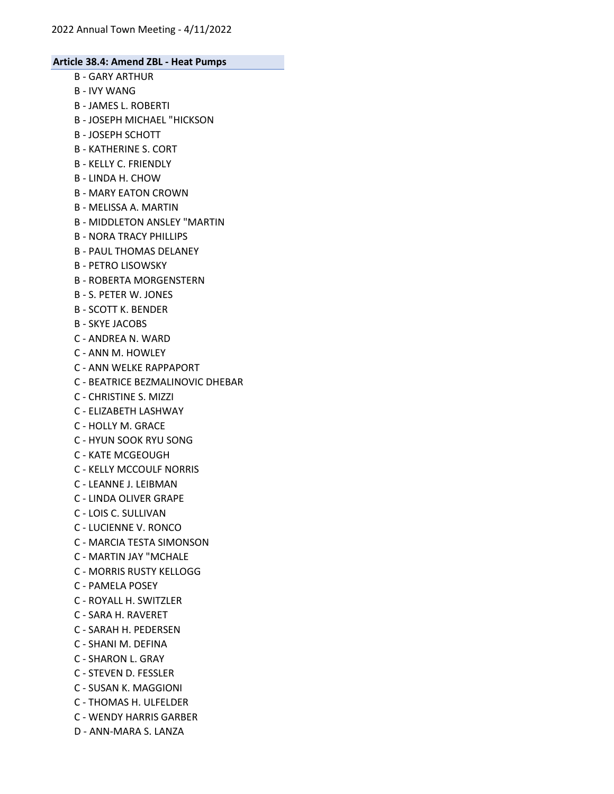- B GARY ARTHUR
- B IVY WANG
- B JAMES L. ROBERTI
- B JOSEPH MICHAEL "HICKSON
- B JOSEPH SCHOTT
- B KATHERINE S. CORT
- B KELLY C. FRIENDLY
- B LINDA H. CHOW
- B MARY EATON CROWN
- B MELISSA A. MARTIN
- B MIDDLETON ANSLEY "MARTIN
- B NORA TRACY PHILLIPS
- B PAUL THOMAS DELANEY
- B PETRO LISOWSKY
- B ROBERTA MORGENSTERN
- B S. PETER W. JONES
- B SCOTT K. BENDER
- B SKYE JACOBS
- C ANDREA N. WARD
- C ANN M. HOWLEY
- C ANN WELKE RAPPAPORT
- C BEATRICE BEZMALINOVIC DHEBAR
- C CHRISTINE S. MIZZI
- C ELIZABETH LASHWAY
- C HOLLY M. GRACE
- C HYUN SOOK RYU SONG
- C KATE MCGEOUGH
- C KELLY MCCOULF NORRIS
- C LEANNE J. LEIBMAN
- C LINDA OLIVER GRAPE
- C LOIS C. SULLIVAN
- C LUCIENNE V. RONCO
- C MARCIA TESTA SIMONSON
- C MARTIN JAY "MCHALE
- C MORRIS RUSTY KELLOGG
- C PAMELA POSEY
- C ROYALL H. SWITZLER
- C SARA H. RAVERET
- C SARAH H. PEDERSEN
- C SHANI M. DEFINA
- C SHARON L. GRAY
- C STEVEN D. FESSLER
- C SUSAN K. MAGGIONI
- C THOMAS H. ULFELDER
- C WENDY HARRIS GARBER
- D ANN-MARA S. LANZA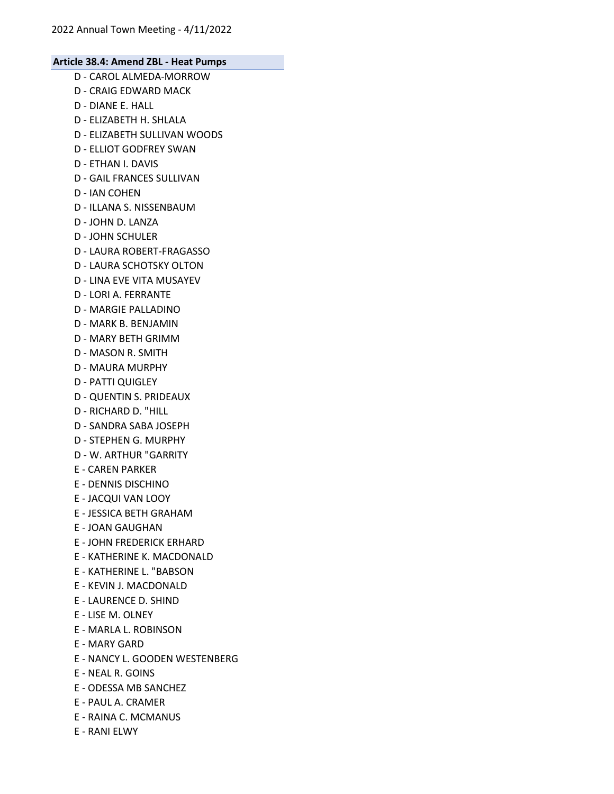- D CAROL ALMEDA-MORROW D - CRAIG EDWARD MACK D - DIANE E. HALL D - ELIZABETH H. SHLALA D - ELIZABETH SULLIVAN WOODS D - ELLIOT GODFREY SWAN D - ETHAN I. DAVIS D - GAIL FRANCES SULLIVAN D - IAN COHEN D - ILLANA S. NISSENBAUM D - JOHN D. LANZA D - JOHN SCHULER D - LAURA ROBERT-FRAGASSO D - LAURA SCHOTSKY OLTON D - LINA EVE VITA MUSAYEV D - LORI A. FERRANTE D - MARGIE PALLADINO D - MARK B. BENJAMIN D - MARY BETH GRIMM D - MASON R. SMITH D - MAURA MURPHY D - PATTI QUIGLEY D - QUENTIN S. PRIDEAUX D - RICHARD D. "HILL D - SANDRA SABA JOSEPH D - STEPHEN G. MURPHY D - W. ARTHUR "GARRITY E - CAREN PARKER E - DENNIS DISCHINO E - JACQUI VAN LOOY E - JESSICA BETH GRAHAM E - JOAN GAUGHAN E - JOHN FREDERICK ERHARD E - KATHERINE K. MACDONALD E - KATHERINE L. "BABSON E - KEVIN J. MACDONALD E - LAURENCE D. SHIND E - LISE M. OLNEY E - MARLA L. ROBINSON E - MARY GARD E - NANCY L. GOODEN WESTENBERG E - NEAL R. GOINS
- E ODESSA MB SANCHEZ
- E PAUL A. CRAMER
- E RAINA C. MCMANUS
- E RANI ELWY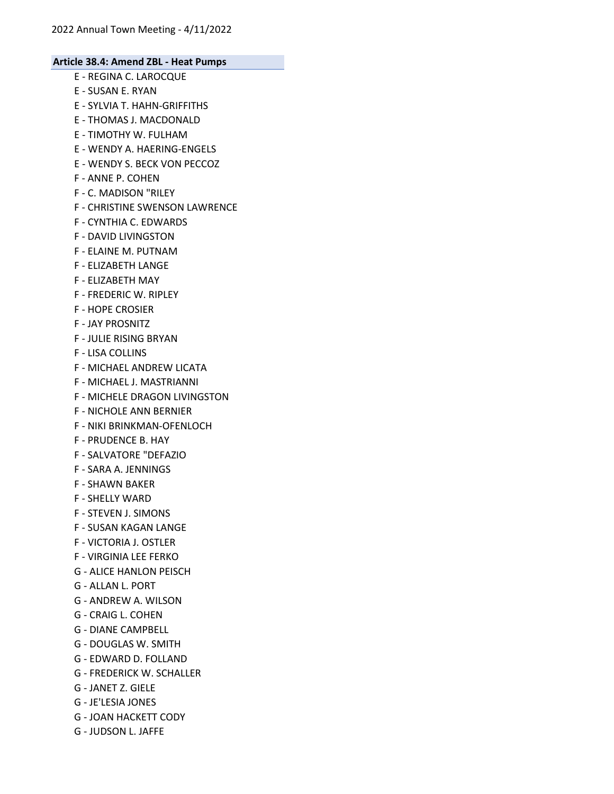- E REGINA C. LAROCQUE E - SUSAN E. RYAN E - SYLVIA T. HAHN-GRIFFITHS E - THOMAS J. MACDONALD E - TIMOTHY W. FULHAM E - WENDY A. HAERING-ENGELS E - WENDY S. BECK VON PECCOZ F - ANNE P. COHEN F - C. MADISON "RILEY F - CHRISTINE SWENSON LAWRENCE F - CYNTHIA C. EDWARDS F - DAVID LIVINGSTON F - ELAINE M. PUTNAM F - ELIZABETH LANGE F - ELIZABETH MAY F - FREDERIC W. RIPLEY F - HOPE CROSIER F - JAY PROSNITZ F - JULIE RISING BRYAN F - LISA COLLINS F - MICHAEL ANDREW LICATA
- F MICHAEL J. MASTRIANNI
- F MICHELE DRAGON LIVINGSTON
- F NICHOLE ANN BERNIER
- F NIKI BRINKMAN-OFENLOCH
- F PRUDENCE B. HAY
- F SALVATORE "DEFAZIO
- F SARA A. JENNINGS
- F SHAWN BAKER
- F SHELLY WARD
- F STEVEN J. SIMONS
- F SUSAN KAGAN LANGE
- F VICTORIA J. OSTLER
- F VIRGINIA LEE FERKO
- G ALICE HANLON PEISCH
- G ALLAN L. PORT
- G ANDREW A. WILSON
- G CRAIG L. COHEN
- G DIANE CAMPBELL
- G DOUGLAS W. SMITH
- G EDWARD D. FOLLAND
- G FREDERICK W. SCHALLER
- G JANET Z. GIELE
- G JE'LESIA JONES
- G JOAN HACKETT CODY
- G JUDSON L. JAFFE